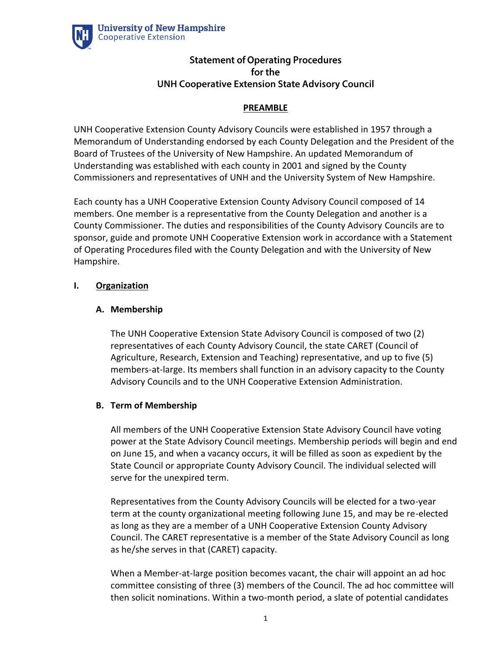

# **Statement of Operating Procedures** for the **UNH Cooperative Extension State Advisory Council**

# **PREAMBLE**

UNH Cooperative Extension County Advisory Councils were established in 1957 through a Memorandum of Understanding endorsed by each County Delegation and the President of the Board of Trustees of the University of New Hampshire. An updated Memorandum of Understanding was established with each county in 2001 and signed by the County Commissioners and representatives of UNH and the University System of New Hampshire.

Each county has a UNH Cooperative Extension County Advisory Council composed of 14 members. One member is a representative from the County Delegation and another is a County Commissioner. The duties and responsibilities of the County Advisory Councils are to sponsor, guide and promote UNH Cooperative Extension work in accordance with a Statement of Operating Procedures filed with the County Delegation and with the University of New Hampshire.

## **I. Organization**

## **A. Membership**

The UNH Cooperative Extension State Advisory Council is composed of two (2) representatives of each County Advisory Council, the state CARET (Council of Agriculture, Research, Extension and Teaching) representative, and up to five (5) members-at-large. Its members shall function in an advisory capacity to the County Advisory Councils and to the UNH Cooperative Extension Administration.

## **B. Term of Membership**

All members of the UNH Cooperative Extension State Advisory Council have voting power at the State Advisory Council meetings. Membership periods will begin and end on June 15, and when a vacancy occurs, it will be filled as soon as expedient by the State Council or appropriate County Advisory Council. The individual selected will serve for the unexpired term.

Representatives from the County Advisory Councils will be elected for a two-year term at the county organizational meeting following June 15, and may be re-elected as long as they are a member of a UNH Cooperative Extension County Advisory Council. The CARET representative is a member of the State Advisory Council as long as he/she serves in that (CARET) capacity.

When a Member-at-large position becomes vacant, the chair will appoint an ad hoc committee consisting of three (3) members of the Council. The ad hoc committee will then solicit nominations. Within a two-month period, a slate of potential candidates